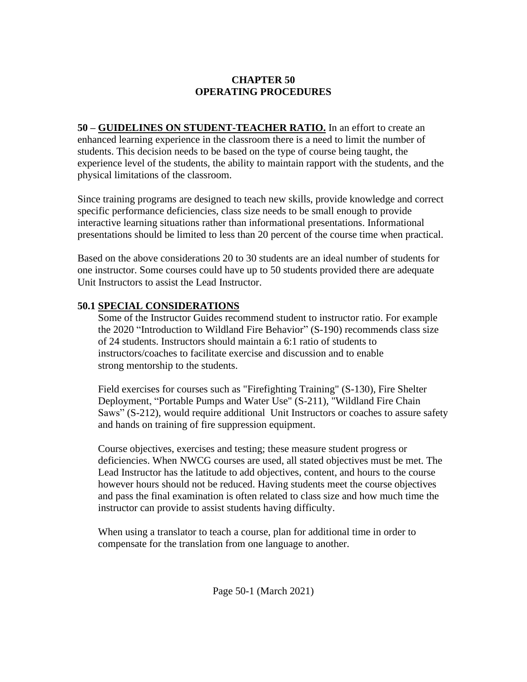### **CHAPTER 50 OPERATING PROCEDURES**

**50 – GUIDELINES ON STUDENT-TEACHER RATIO.** In an effort to create an enhanced learning experience in the classroom there is a need to limit the number of students. This decision needs to be based on the type of course being taught, the experience level of the students, the ability to maintain rapport with the students, and the physical limitations of the classroom.

Since training programs are designed to teach new skills, provide knowledge and correct specific performance deficiencies, class size needs to be small enough to provide interactive learning situations rather than informational presentations. Informational presentations should be limited to less than 20 percent of the course time when practical.

Based on the above considerations 20 to 30 students are an ideal number of students for one instructor. Some courses could have up to 50 students provided there are adequate Unit Instructors to assist the Lead Instructor.

### **50.1 SPECIAL CONSIDERATIONS**

 Some of the Instructor Guides recommend student to instructor ratio. For example the 2020 "Introduction to Wildland Fire Behavior" (S-190) recommends class size of 24 students. Instructors should maintain a 6:1 ratio of students to instructors/coaches to facilitate exercise and discussion and to enable strong mentorship to the students.

 Field exercises for courses such as "Firefighting Training" (S-130), Fire Shelter Deployment, "Portable Pumps and Water Use" (S-211), "Wildland Fire Chain Saws" (S-212), would require additional Unit Instructors or coaches to assure safety and hands on training of fire suppression equipment.

 Course objectives, exercises and testing; these measure student progress or deficiencies. When NWCG courses are used, all stated objectives must be met. The Lead Instructor has the latitude to add objectives, content, and hours to the course however hours should not be reduced. Having students meet the course objectives and pass the final examination is often related to class size and how much time the instructor can provide to assist students having difficulty.

 When using a translator to teach a course, plan for additional time in order to compensate for the translation from one language to another.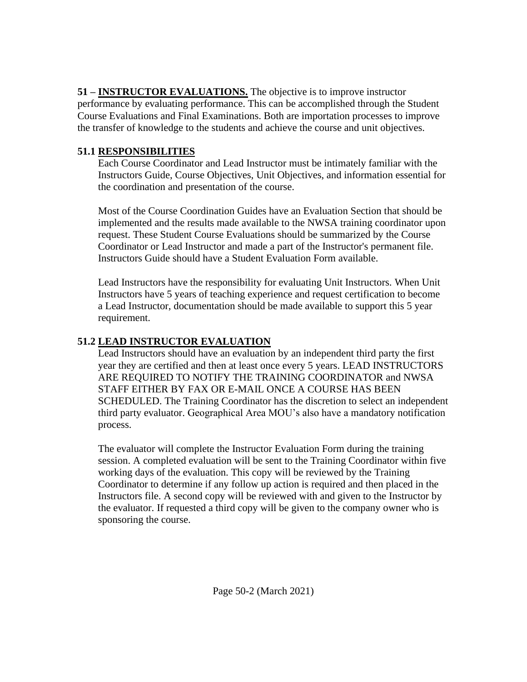**51 – INSTRUCTOR EVALUATIONS.** The objective is to improve instructor performance by evaluating performance. This can be accomplished through the Student Course Evaluations and Final Examinations. Both are importation processes to improve the transfer of knowledge to the students and achieve the course and unit objectives.

## **51.1 RESPONSIBILITIES**

Each Course Coordinator and Lead Instructor must be intimately familiar with the Instructors Guide, Course Objectives, Unit Objectives, and information essential for the coordination and presentation of the course.

 Most of the Course Coordination Guides have an Evaluation Section that should be implemented and the results made available to the NWSA training coordinator upon request. These Student Course Evaluations should be summarized by the Course Coordinator or Lead Instructor and made a part of the Instructor's permanent file. Instructors Guide should have a Student Evaluation Form available.

 Lead Instructors have the responsibility for evaluating Unit Instructors. When Unit Instructors have 5 years of teaching experience and request certification to become a Lead Instructor, documentation should be made available to support this 5 year requirement.

# **51.2 LEAD INSTRUCTOR EVALUATION**

Lead Instructors should have an evaluation by an independent third party the first year they are certified and then at least once every 5 years. LEAD INSTRUCTORS ARE REQUIRED TO NOTIFY THE TRAINING COORDINATOR and NWSA STAFF EITHER BY FAX OR E-MAIL ONCE A COURSE HAS BEEN SCHEDULED. The Training Coordinator has the discretion to select an independent third party evaluator. Geographical Area MOU's also have a mandatory notification process.

 The evaluator will complete the Instructor Evaluation Form during the training session. A completed evaluation will be sent to the Training Coordinator within five working days of the evaluation. This copy will be reviewed by the Training Coordinator to determine if any follow up action is required and then placed in the Instructors file. A second copy will be reviewed with and given to the Instructor by the evaluator. If requested a third copy will be given to the company owner who is sponsoring the course.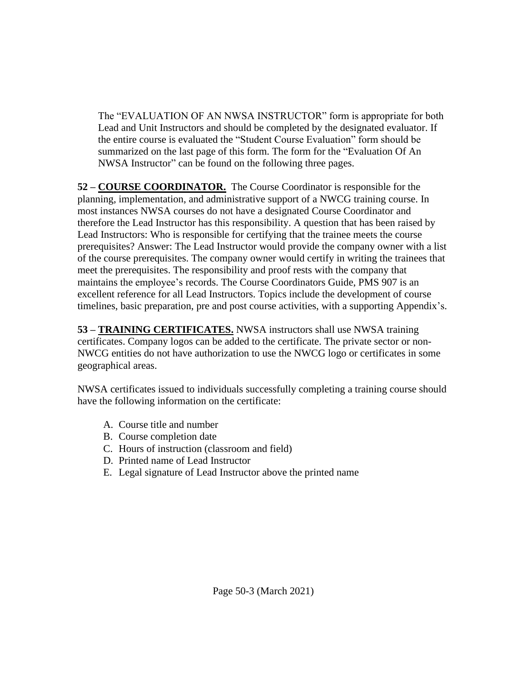The "EVALUATION OF AN NWSA INSTRUCTOR" form is appropriate for both Lead and Unit Instructors and should be completed by the designated evaluator. If the entire course is evaluated the "Student Course Evaluation" form should be summarized on the last page of this form. The form for the "Evaluation Of An NWSA Instructor" can be found on the following three pages.

**52 – COURSE COORDINATOR.** The Course Coordinator is responsible for the planning, implementation, and administrative support of a NWCG training course. In most instances NWSA courses do not have a designated Course Coordinator and therefore the Lead Instructor has this responsibility. A question that has been raised by Lead Instructors: Who is responsible for certifying that the trainee meets the course prerequisites? Answer: The Lead Instructor would provide the company owner with a list of the course prerequisites. The company owner would certify in writing the trainees that meet the prerequisites. The responsibility and proof rests with the company that maintains the employee's records. The Course Coordinators Guide, PMS 907 is an excellent reference for all Lead Instructors. Topics include the development of course timelines, basic preparation, pre and post course activities, with a supporting Appendix's.

**53 – TRAINING CERTIFICATES.** NWSA instructors shall use NWSA training certificates. Company logos can be added to the certificate. The private sector or non-NWCG entities do not have authorization to use the NWCG logo or certificates in some geographical areas.

NWSA certificates issued to individuals successfully completing a training course should have the following information on the certificate:

- A. Course title and number
- B. Course completion date
- C. Hours of instruction (classroom and field)
- D. Printed name of Lead Instructor
- E. Legal signature of Lead Instructor above the printed name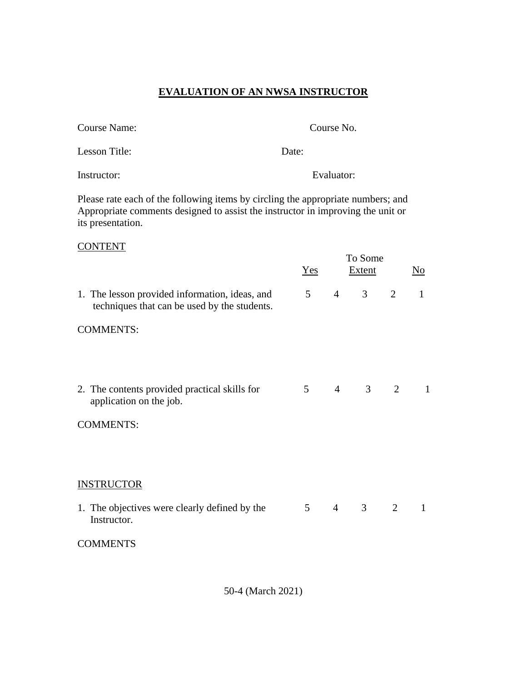## **EVALUATION OF AN NWSA INSTRUCTOR**

| Course Name:  |       | Course No. |
|---------------|-------|------------|
| Lesson Title: | Date: |            |
| Instructor:   |       | Evaluator: |

Please rate each of the following items by circling the appropriate numbers; and Appropriate comments designed to assist the instructor in improving the unit or its presentation.

#### **CONTENT**

|                                                                                                | Yes            |                | To Some<br>Extent |   | N <sub>0</sub> |
|------------------------------------------------------------------------------------------------|----------------|----------------|-------------------|---|----------------|
| 1. The lesson provided information, ideas, and<br>techniques that can be used by the students. | 5 <sup>5</sup> | $\overline{4}$ | 3 <sup>7</sup>    | 2 | $\mathbf{1}$   |
| <b>COMMENTS:</b>                                                                               |                |                |                   |   |                |
| 2. The contents provided practical skills for<br>application on the job.                       | 5 <sup>5</sup> | $\overline{4}$ | 3 <sup>7</sup>    | 2 | 1              |
| <b>COMMENTS:</b>                                                                               |                |                |                   |   |                |
| <b>INSTRUCTOR</b>                                                                              |                |                |                   |   |                |
| 1. The objectives were clearly defined by the<br>Instructor.                                   | 5 <sup>5</sup> | $\overline{4}$ | 3 <sup>7</sup>    | 2 | 1              |
| <b>COMMENTS</b>                                                                                |                |                |                   |   |                |

50-4 (March 2021)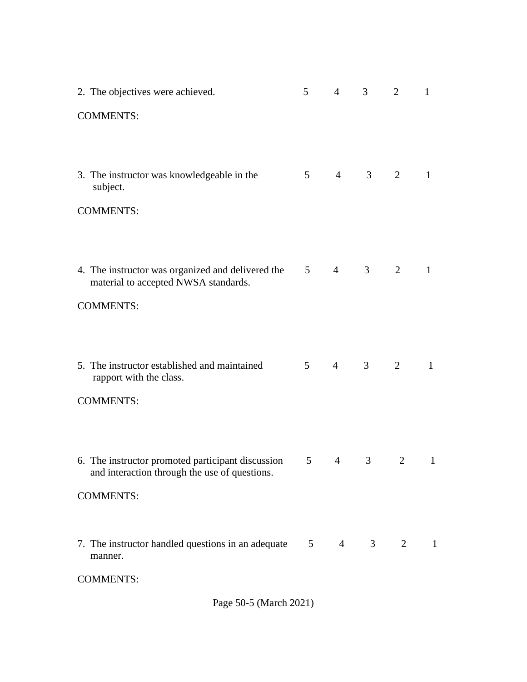| 2. The objectives were achieved.                                                                   | 5              | $\overline{4}$ | 3                   | $\overline{2}$ | 1            |  |  |  |  |  |
|----------------------------------------------------------------------------------------------------|----------------|----------------|---------------------|----------------|--------------|--|--|--|--|--|
| <b>COMMENTS:</b>                                                                                   |                |                |                     |                |              |  |  |  |  |  |
|                                                                                                    |                |                |                     |                |              |  |  |  |  |  |
| 3. The instructor was knowledgeable in the<br>subject.                                             |                | $5 \qquad 4$   | $\mathcal{S}$       | 2              | 1            |  |  |  |  |  |
| <b>COMMENTS:</b>                                                                                   |                |                |                     |                |              |  |  |  |  |  |
|                                                                                                    |                |                |                     |                |              |  |  |  |  |  |
| 4. The instructor was organized and delivered the<br>material to accepted NWSA standards.          | 5 <sup>5</sup> | $\overline{4}$ | 3                   | 2              | $\mathbf{1}$ |  |  |  |  |  |
| <b>COMMENTS:</b>                                                                                   |                |                |                     |                |              |  |  |  |  |  |
|                                                                                                    |                |                |                     |                |              |  |  |  |  |  |
| 5. The instructor established and maintained<br>rapport with the class.                            | 5 <sup>5</sup> | $\overline{4}$ | 3                   | 2              | $\mathbf{1}$ |  |  |  |  |  |
| <b>COMMENTS:</b>                                                                                   |                |                |                     |                |              |  |  |  |  |  |
|                                                                                                    |                |                |                     |                |              |  |  |  |  |  |
| 6. The instructor promoted participant discussion<br>and interaction through the use of questions. | 5              | $\overline{4}$ | $\mathfrak{Z}$      | 2              | $\mathbf{1}$ |  |  |  |  |  |
| <b>COMMENTS:</b>                                                                                   |                |                |                     |                |              |  |  |  |  |  |
|                                                                                                    |                |                |                     |                |              |  |  |  |  |  |
| 7. The instructor handled questions in an adequate<br>manner.                                      | 5 <sup>5</sup> |                | $4 \quad 3 \quad 2$ |                | 1            |  |  |  |  |  |
| <b>COMMENTS:</b>                                                                                   |                |                |                     |                |              |  |  |  |  |  |

Page 50-5 (March 2021)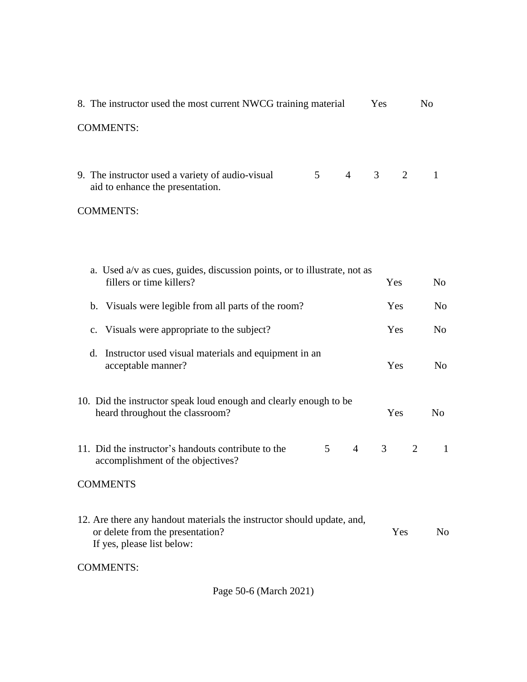| 8. The instructor used the most current NWCG training material<br>Yes<br>N <sub>0</sub>                                                  |   |                |                |                |                |  |  |  |  |  |
|------------------------------------------------------------------------------------------------------------------------------------------|---|----------------|----------------|----------------|----------------|--|--|--|--|--|
| <b>COMMENTS:</b>                                                                                                                         |   |                |                |                |                |  |  |  |  |  |
|                                                                                                                                          |   |                |                |                |                |  |  |  |  |  |
| 9. The instructor used a variety of audio-visual<br>aid to enhance the presentation.                                                     | 5 | $\overline{4}$ | $\mathfrak{Z}$ | 2              | 1              |  |  |  |  |  |
| <b>COMMENTS:</b>                                                                                                                         |   |                |                |                |                |  |  |  |  |  |
|                                                                                                                                          |   |                |                |                |                |  |  |  |  |  |
|                                                                                                                                          |   |                |                |                |                |  |  |  |  |  |
| a. Used a/v as cues, guides, discussion points, or to illustrate, not as<br>fillers or time killers?                                     |   |                | Yes            |                | N <sub>o</sub> |  |  |  |  |  |
| b. Visuals were legible from all parts of the room?                                                                                      |   |                | Yes            |                | N <sub>o</sub> |  |  |  |  |  |
| c. Visuals were appropriate to the subject?                                                                                              |   | Yes            | N <sub>0</sub> |                |                |  |  |  |  |  |
| d. Instructor used visual materials and equipment in an<br>acceptable manner?                                                            |   |                | Yes            |                | N <sub>o</sub> |  |  |  |  |  |
| 10. Did the instructor speak loud enough and clearly enough to be<br>heard throughout the classroom?                                     |   |                | Yes            |                | N <sub>o</sub> |  |  |  |  |  |
| 11. Did the instructor's handouts contribute to the<br>accomplishment of the objectives?                                                 | 5 | $\overline{4}$ | 3              | $\overline{2}$ | $\mathbf{1}$   |  |  |  |  |  |
| <b>COMMENTS</b>                                                                                                                          |   |                |                |                |                |  |  |  |  |  |
| 12. Are there any handout materials the instructor should update, and,<br>or delete from the presentation?<br>If yes, please list below: |   | Yes            | N <sub>0</sub> |                |                |  |  |  |  |  |
| <b>COMMENTS:</b>                                                                                                                         |   |                |                |                |                |  |  |  |  |  |
| Page 50-6 (March 2021)                                                                                                                   |   |                |                |                |                |  |  |  |  |  |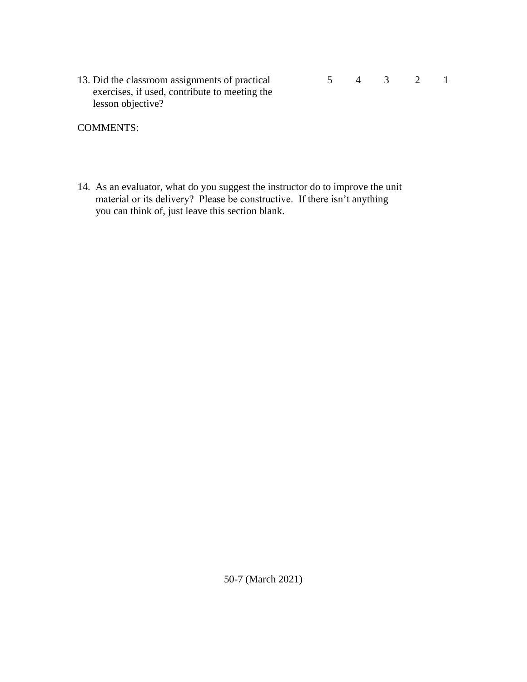| 13. Did the classroom assignments of practical | 4 | $\mathcal{Z}$ |  |
|------------------------------------------------|---|---------------|--|
| exercises, if used, contribute to meeting the  |   |               |  |
| lesson objective?                              |   |               |  |

COMMENTS:

14. As an evaluator, what do you suggest the instructor do to improve the unit material or its delivery? Please be constructive. If there isn't anything you can think of, just leave this section blank.

50-7 (March 2021)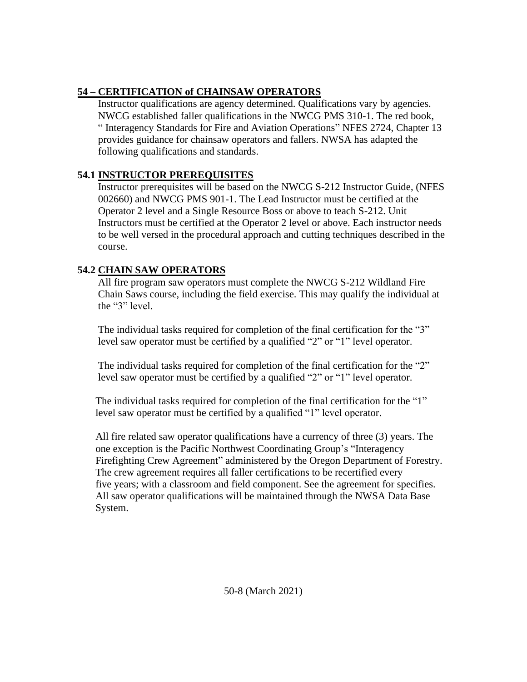# **54 – CERTIFICATION of CHAINSAW OPERATORS**

 Instructor qualifications are agency determined. Qualifications vary by agencies. NWCG established faller qualifications in the NWCG PMS 310-1. The red book, " Interagency Standards for Fire and Aviation Operations" NFES 2724, Chapter 13 provides guidance for chainsaw operators and fallers. NWSA has adapted the following qualifications and standards.

## **54.1 INSTRUCTOR PREREQUISITES**

Instructor prerequisites will be based on the NWCG S-212 Instructor Guide, (NFES 002660) and NWCG PMS 901-1. The Lead Instructor must be certified at the Operator 2 level and a Single Resource Boss or above to teach S-212. Unit Instructors must be certified at the Operator 2 level or above. Each instructor needs to be well versed in the procedural approach and cutting techniques described in the course.

# **54.2 CHAIN SAW OPERATORS**

 All fire program saw operators must complete the NWCG S-212 Wildland Fire Chain Saws course, including the field exercise. This may qualify the individual at the "3" level.

 The individual tasks required for completion of the final certification for the "3" level saw operator must be certified by a qualified "2" or "1" level operator.

 The individual tasks required for completion of the final certification for the "2" level saw operator must be certified by a qualified "2" or "1" level operator.

 The individual tasks required for completion of the final certification for the "1" level saw operator must be certified by a qualified "1" level operator.

 All fire related saw operator qualifications have a currency of three (3) years. The one exception is the Pacific Northwest Coordinating Group's "Interagency Firefighting Crew Agreement" administered by the Oregon Department of Forestry. The crew agreement requires all faller certifications to be recertified every five years; with a classroom and field component. See the agreement for specifies. All saw operator qualifications will be maintained through the NWSA Data Base System.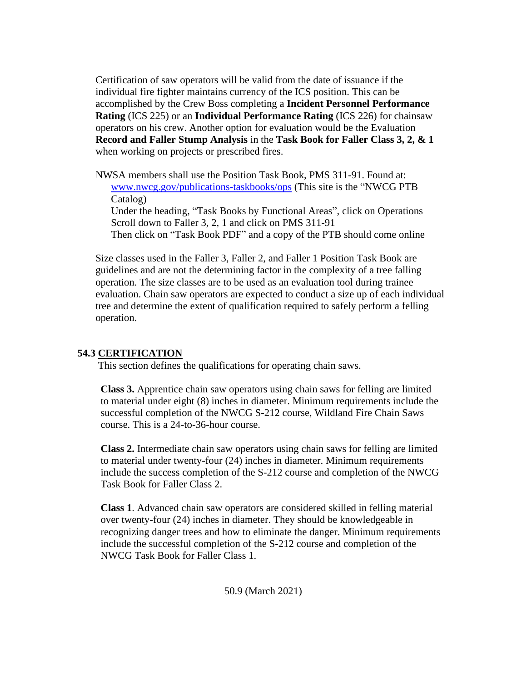Certification of saw operators will be valid from the date of issuance if the individual fire fighter maintains currency of the ICS position. This can be accomplished by the Crew Boss completing a **Incident Personnel Performance Rating** (ICS 225) or an **Individual Performance Rating** (ICS 226) for chainsaw operators on his crew. Another option for evaluation would be the Evaluation  **Record and Faller Stump Analysis** in the **Task Book for Faller Class 3, 2, & 1** when working on projects or prescribed fires.

 NWSA members shall use the Position Task Book, PMS 311-91. Found at: [www.nwcg.gov/publications-taskbooks/ops](http://www.nwcg.gov/publications-taskbooks/ops) (This site is the "NWCG PTB Catalog) Under the heading, "Task Books by Functional Areas", click on Operations Scroll down to Faller 3, 2, 1 and click on PMS 311-91 Then click on "Task Book PDF" and a copy of the PTB should come online

 Size classes used in the Faller 3, Faller 2, and Faller 1 Position Task Book are guidelines and are not the determining factor in the complexity of a tree falling operation. The size classes are to be used as an evaluation tool during trainee evaluation. Chain saw operators are expected to conduct a size up of each individual tree and determine the extent of qualification required to safely perform a felling operation.

#### **54.3 CERTIFICATION**

This section defines the qualifications for operating chain saws.

 **Class 3.** Apprentice chain saw operators using chain saws for felling are limited to material under eight (8) inches in diameter. Minimum requirements include the successful completion of the NWCG S-212 course, Wildland Fire Chain Saws course. This is a 24-to-36-hour course.

 **Class 2.** Intermediate chain saw operators using chain saws for felling are limited to material under twenty-four (24) inches in diameter. Minimum requirements include the success completion of the S-212 course and completion of the NWCG Task Book for Faller Class 2.

 **Class 1**. Advanced chain saw operators are considered skilled in felling material over twenty-four (24) inches in diameter. They should be knowledgeable in recognizing danger trees and how to eliminate the danger. Minimum requirements include the successful completion of the S-212 course and completion of the NWCG Task Book for Faller Class 1.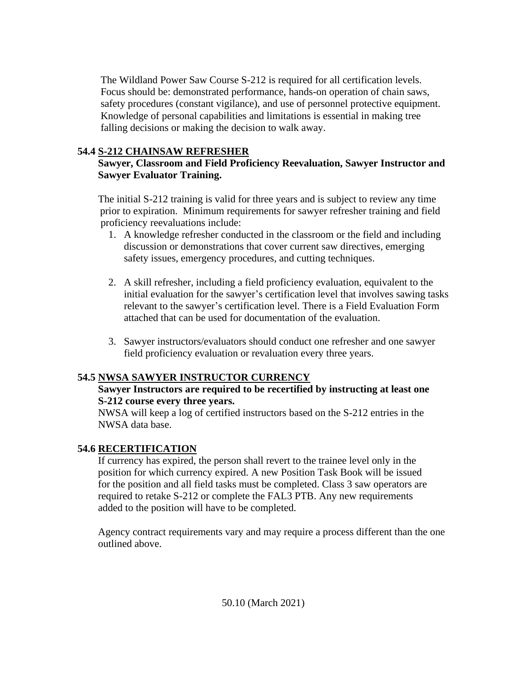The Wildland Power Saw Course S-212 is required for all certification levels. Focus should be: demonstrated performance, hands-on operation of chain saws, safety procedures (constant vigilance), and use of personnel protective equipment. Knowledge of personal capabilities and limitations is essential in making tree falling decisions or making the decision to walk away.

# **54.4 S-212 CHAINSAW REFRESHER**

### **Sawyer, Classroom and Field Proficiency Reevaluation, Sawyer Instructor and Sawyer Evaluator Training.**

The initial S-212 training is valid for three years and is subject to review any time prior to expiration. Minimum requirements for sawyer refresher training and field proficiency reevaluations include:

- 1. A knowledge refresher conducted in the classroom or the field and including discussion or demonstrations that cover current saw directives, emerging safety issues, emergency procedures, and cutting techniques.
- 2. A skill refresher, including a field proficiency evaluation, equivalent to the initial evaluation for the sawyer's certification level that involves sawing tasks relevant to the sawyer's certification level. There is a Field Evaluation Form attached that can be used for documentation of the evaluation.
- 3. Sawyer instructors/evaluators should conduct one refresher and one sawyer field proficiency evaluation or revaluation every three years.

## **54.5 NWSA SAWYER INSTRUCTOR CURRENCY**

### **Sawyer Instructors are required to be recertified by instructing at least one S-212 course every three years.**

 NWSA will keep a log of certified instructors based on the S-212 entries in the NWSA data base.

## **54.6 RECERTIFICATION**

 If currency has expired, the person shall revert to the trainee level only in the position for which currency expired. A new Position Task Book will be issued for the position and all field tasks must be completed. Class 3 saw operators are required to retake S-212 or complete the FAL3 PTB. Any new requirements added to the position will have to be completed.

 Agency contract requirements vary and may require a process different than the one outlined above.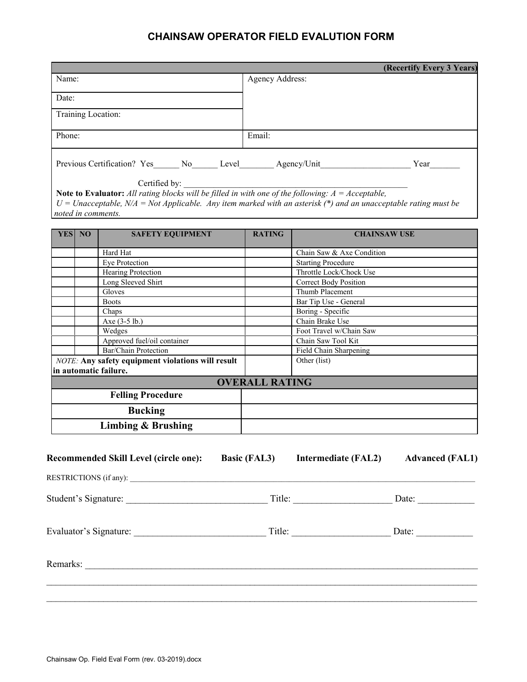# **CHAINSAW OPERATOR FIELD EVALUTION FORM**

|                       |                                                                                                                     |                       |                              | (Recertify Every 3 Years) |
|-----------------------|---------------------------------------------------------------------------------------------------------------------|-----------------------|------------------------------|---------------------------|
| Name:                 |                                                                                                                     | Agency Address:       |                              |                           |
| Date:                 |                                                                                                                     |                       |                              |                           |
|                       |                                                                                                                     |                       |                              |                           |
| Training Location:    |                                                                                                                     |                       |                              |                           |
| Phone:                |                                                                                                                     | Email:                |                              |                           |
|                       |                                                                                                                     |                       |                              |                           |
|                       | Previous Certification? Yes______ No______ Level_________ Agency/Unit____________                                   |                       |                              |                           |
|                       | Certified by:                                                                                                       |                       |                              |                           |
|                       | Note to Evaluator: All rating blocks will be filled in with one of the following: $A = Acceptable$ ,                |                       |                              |                           |
|                       | $U = Unacceptedible$ , $N/A = Not Applied.$ Any item marked with an asterisk (*) and an unacceptable rating must be |                       |                              |                           |
| noted in comments.    |                                                                                                                     |                       |                              |                           |
| <b>YESI NO</b>        | <b>SAFETY EQUIPMENT</b>                                                                                             | <b>RATING</b>         | <b>CHAINSAW USE</b>          |                           |
|                       |                                                                                                                     |                       |                              |                           |
|                       | Hard Hat                                                                                                            |                       | Chain Saw & Axe Condition    |                           |
|                       | Eye Protection                                                                                                      |                       | <b>Starting Procedure</b>    |                           |
|                       | <b>Hearing Protection</b>                                                                                           |                       | Throttle Lock/Chock Use      |                           |
|                       | Long Sleeved Shirt                                                                                                  |                       | <b>Correct Body Position</b> |                           |
|                       | Gloves                                                                                                              |                       | Thumb Placement              |                           |
|                       | <b>Boots</b>                                                                                                        |                       | Bar Tip Use - General        |                           |
|                       | Chaps                                                                                                               |                       | Boring - Specific            |                           |
|                       | Axe (3-5 lb.)                                                                                                       |                       | Chain Brake Use              |                           |
|                       | Wedges                                                                                                              |                       | Foot Travel w/Chain Saw      |                           |
|                       | Approved fuel/oil container                                                                                         |                       | Chain Saw Tool Kit           |                           |
|                       | Bar/Chain Protection                                                                                                |                       | Field Chain Sharpening       |                           |
|                       | <b>NOTE:</b> Any safety equipment violations will result                                                            |                       | Other (list)                 |                           |
| in automatic failure. |                                                                                                                     |                       |                              |                           |
|                       |                                                                                                                     | <b>OVERALL RATING</b> |                              |                           |
|                       | <b>Felling Procedure</b>                                                                                            |                       |                              |                           |
|                       | <b>Bucking</b>                                                                                                      |                       |                              |                           |
|                       | <b>Limbing &amp; Brushing</b>                                                                                       |                       |                              |                           |
|                       |                                                                                                                     |                       |                              |                           |
|                       |                                                                                                                     |                       |                              |                           |
|                       | <b>Recommended Skill Level (circle one):</b>                                                                        | <b>Basic (FAL3)</b>   | <b>Intermediate (FAL2)</b>   | <b>Advanced (FAL1)</b>    |
|                       |                                                                                                                     |                       |                              |                           |
|                       |                                                                                                                     |                       |                              |                           |
|                       |                                                                                                                     |                       |                              |                           |
|                       |                                                                                                                     |                       |                              |                           |
|                       |                                                                                                                     |                       |                              |                           |
|                       |                                                                                                                     |                       |                              |                           |
|                       |                                                                                                                     |                       |                              |                           |
|                       |                                                                                                                     |                       |                              |                           |
|                       |                                                                                                                     |                       |                              |                           |
|                       |                                                                                                                     |                       |                              |                           |

 $\mathcal{L}_\mathcal{L} = \mathcal{L}_\mathcal{L} = \mathcal{L}_\mathcal{L} = \mathcal{L}_\mathcal{L} = \mathcal{L}_\mathcal{L} = \mathcal{L}_\mathcal{L} = \mathcal{L}_\mathcal{L} = \mathcal{L}_\mathcal{L} = \mathcal{L}_\mathcal{L} = \mathcal{L}_\mathcal{L} = \mathcal{L}_\mathcal{L} = \mathcal{L}_\mathcal{L} = \mathcal{L}_\mathcal{L} = \mathcal{L}_\mathcal{L} = \mathcal{L}_\mathcal{L} = \mathcal{L}_\mathcal{L} = \mathcal{L}_\mathcal{L}$